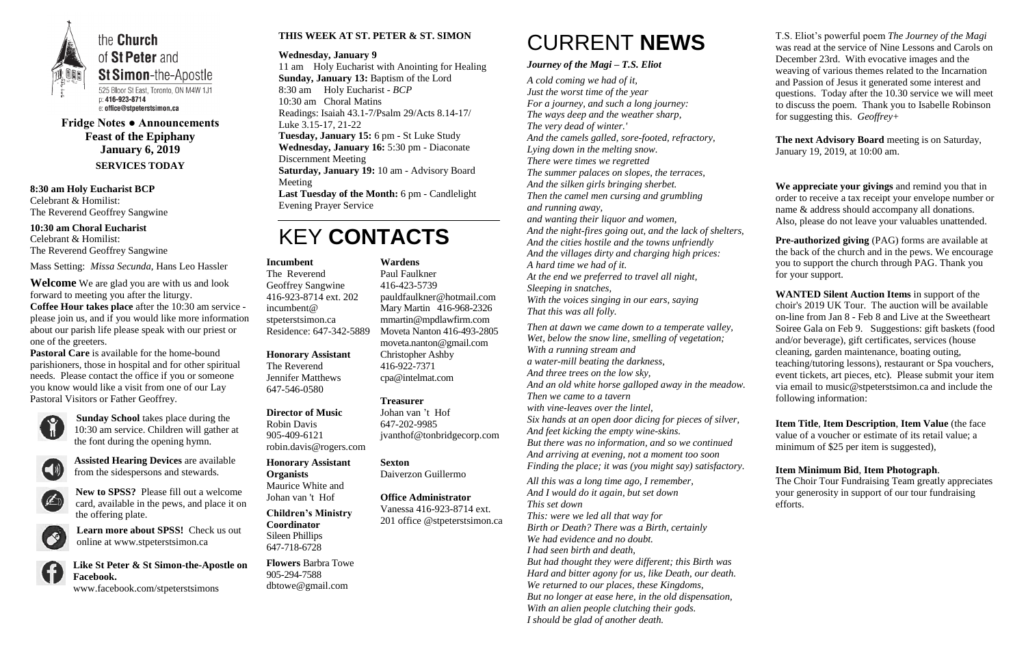

**Fridge Notes ● Announcements Feast of the Epiphany January 6, 2019 SERVICES TODAY**

**8:30 am Holy Eucharist BCP** Celebrant & Homilist: The Reverend Geoffrey Sangwine

**10:30 am Choral Eucharist** Celebrant & Homilist: The Reverend Geoffrey Sangwine

Mass Setting: *Missa Secunda*, Hans Leo Hassler

**Welcome** We are glad you are with us and look forward to meeting you after the liturgy. **Coffee Hour takes place** after the 10:30 am service please join us, and if you would like more information about our parish life please speak with our priest or one of the greeters.

**Pastoral Care** is available for the home-bound parishioners, those in hospital and for other spiritual needs. Please contact the office if you or someone you know would like a visit from one of our Lay Pastoral Visitors or Father Geoffrey.



**Sunday School** takes place during the 10:30 am service. Children will gather at the font during the opening hymn.



**Assisted Hearing Devices** are available from the sidespersons and stewards.



**New to SPSS?** Please fill out a welcome card, available in the pews, and place it on the offering plate.



**Learn more about SPSS!** Check us out online at www.stpeterstsimon.ca

**Like St Peter & St Simon-the-Apostle on Facebook.** 

www.facebook.com/stpeterstsimons

### **THIS WEEK AT ST. PETER & ST. SIMON**

### **Wednesday, January 9**

11 am Holy Eucharist with Anointing for Healing **Sunday, January 13:** Baptism of the Lord 8:30 am Holy Eucharist - *BCP* 10:30 am Choral Matins Readings: Isaiah 43.1-7/Psalm 29/Acts 8.14-17/ Luke 3.15-17, 21-22 **Tuesday, January 15:** 6 pm - St Luke Study **Wednesday, January 16:** 5:30 pm - Diaconate Discernment Meeting **Saturday, January 19:** 10 am - Advisory Board Meeting **Last Tuesday of the Month:** 6 pm - Candlelight Evening Prayer Service

# KEY **CONTACTS**

# CURRENT **NEWS**

### *Journey of the Magi – T.S. Eliot*

**Pre-authorized giving (PAG) forms are available at** the back of the church and in the pews. We encourage you to support the church through PAG. Thank you for your support.

*A cold coming we had of it, Just the worst time of the year For a journey, and such a long journey: The ways deep and the weather sharp, The very dead of winter.' And the camels galled, sore-footed, refractory, Lying down in the melting snow. There were times we regretted The summer palaces on slopes, the terraces, And the silken girls bringing sherbet. Then the camel men cursing and grumbling and running away, and wanting their liquor and women, And the night-fires going out, and the lack of shelters, And the cities hostile and the towns unfriendly And the villages dirty and charging high prices: A hard time we had of it. At the end we preferred to travel all night, Sleeping in snatches, With the voices singing in our ears, saying That this was all folly. Then at dawn we came down to a temperate valley, Wet, below the snow line, smelling of vegetation; With a running stream and a water-mill beating the darkness, And three trees on the low sky, And an old white horse galloped away in the meadow. Then we came to a tavern with vine-leaves over the lintel,*

*Six hands at an open door dicing for pieces of silver, And feet kicking the empty wine-skins. But there was no information, and so we continued*

*And arriving at evening, not a moment too soon Finding the place; it was (you might say) satisfactory.*

*All this was a long time ago, I remember, And I would do it again, but set down This set down This: were we led all that way for Birth or Death? There was a Birth, certainly We had evidence and no doubt. I had seen birth and death, But had thought they were different; this Birth was Hard and bitter agony for us, like Death, our death. We returned to our places, these Kingdoms, But no longer at ease here, in the old dispensation, With an alien people clutching their gods. I should be glad of another death.*

T.S. Eliot's powerful poem *The Journey of the Magi*  was read at the service of Nine Lessons and Carols on December 23rd. With evocative images and the weaving of various themes related to the Incarnation and Passion of Jesus it generated some interest and questions. Today after the 10.30 service we will meet to discuss the poem. Thank you to Isabelle Robinson for suggesting this. *Geoffrey+*

**The next Advisory Board** meeting is on Saturday, January 19, 2019, at 10:00 am.

**We appreciate your givings** and remind you that in order to receive a tax receipt your envelope number or name & address should accompany all donations. Also, please do not leave your valuables unattended.

**WANTED Silent Auction Items** in support of the choir's 2019 UK Tour. The auction will be available on-line from Jan 8 - Feb 8 and Live at the Sweetheart Soiree Gala on Feb 9. Suggestions: gift baskets (food and/or beverage), gift certificates, services (house cleaning, garden maintenance, boating outing, teaching/tutoring lessons), restaurant or Spa vouchers, event tickets, art pieces, etc). Please submit your item via email to music@stpeterstsimon.ca and include the following information:

**Item Title**, **Item Description**, **Item Value** (the face value of a voucher or estimate of its retail value; a minimum of \$25 per item is suggested),

### **Item Minimum Bid**, **Item Photograph**.

The Choir Tour Fundraising Team greatly appreciates your generosity in support of our tour fundraising efforts.

### **Incumbent**

The Reverend Geoffrey Sangwine 416-923-8714 ext. 202 incumbent@ stpeterstsimon.ca Residence: 647-342-5889

**Honorary Assistant**

The Reverend Jennifer Matthews 647-546-0580

### **Director of Music**

Robin Davis 905-409-6121 robin.davis@rogers.com

**Honorary Assistant Organists**  Maurice White and Johan van 't Hof

**Children's Ministry Coordinator** Sileen Phillips 647-718-6728

**Flowers** Barbra Towe 905-294-7588 dbtowe@gmail.com

**Wardens**  Paul Faulkner

416-423-5739 [pauldfaulkner@hotmail.com](mailto:pauldfaulkner@hotmail.com)  Mary Martin 416-968-2326 mmartin@mpdlawfirm.com Moveta Nanton 416-493-2805 moveta.nanton@gmail.com Christopher Ashby 416-922-7371 cpa@intelmat.com

**Treasurer** 

Johan van 't Hof 647-202-9985 jvanthof@tonbridgecorp.com

**Sexton** Daiverzon Guillermo

**Office Administrator** Vanessa 416-923-8714 ext.

201 office @stpeterstsimon.ca